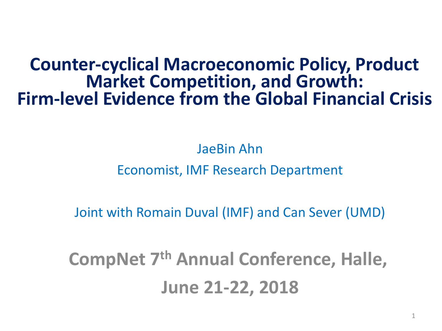## **Counter-cyclical Macroeconomic Policy, Product Market Competition, and Growth: Firm-level Evidence from the Global Financial Crisis**

JaeBin Ahn

#### Economist, IMF Research Department

Joint with Romain Duval (IMF) and Can Sever (UMD)

**CompNet 7th Annual Conference, Halle, June 21-22, 2018**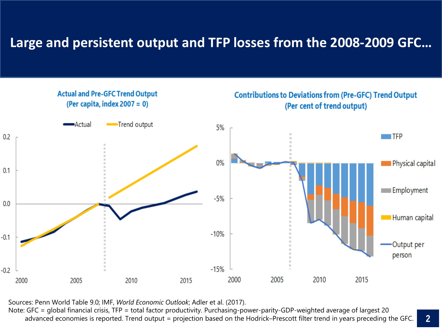#### **Large and persistent output and TFP losses from the 2008-2009 GFC…**



Sources: Penn World Table 9.0; IMF, *World Economic Outlook*; Adler et al. (2017).

Note: GFC = global financial crisis, TFP = total factor productivity. Purchasing-power-parity-GDP-weighted average of largest 20 advanced economies is reported. Trend output = projection based on the Hodrick–Prescott filter trend in years preceding the GFC.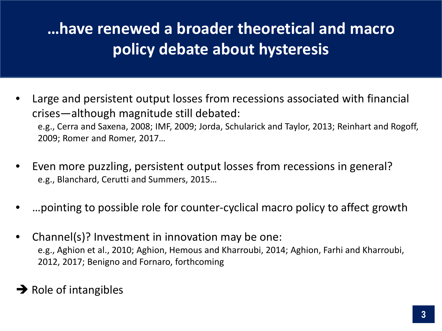# **…have renewed a broader theoretical and macro policy debate about hysteresis**

- Large and persistent output losses from recessions associated with financial crises—although magnitude still debated: e.g., Cerra and Saxena, 2008; IMF, 2009; Jorda, Schularick and Taylor, 2013; Reinhart and Rogoff, 2009; Romer and Romer, 2017…
- Even more puzzling, persistent output losses from recessions in general? e.g., Blanchard, Cerutti and Summers, 2015…
- …pointing to possible role for counter-cyclical macro policy to affect growth
- Channel(s)? Investment in innovation may be one: e.g., Aghion et al., 2010; Aghion, Hemous and Kharroubi, 2014; Aghion, Farhi and Kharroubi, 2012, 2017; Benigno and Fornaro, forthcoming

#### $\rightarrow$  Role of intangibles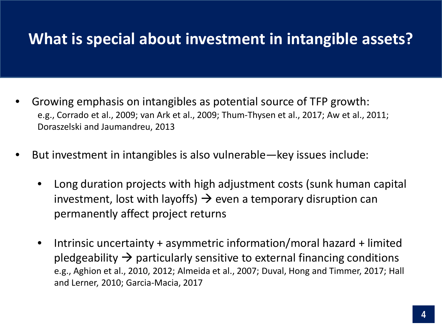## **What is special about investment in intangible assets?**

- Growing emphasis on intangibles as potential source of TFP growth: e.g., Corrado et al., 2009; van Ark et al., 2009; Thum-Thysen et al., 2017; Aw et al., 2011; Doraszelski and Jaumandreu, 2013
- But investment in intangibles is also vulnerable—key issues include:
	- Long duration projects with high adjustment costs (sunk human capital investment, lost with layoffs)  $\rightarrow$  even a temporary disruption can permanently affect project returns
	- Intrinsic uncertainty + asymmetric information/moral hazard + limited pledgeability  $\rightarrow$  particularly sensitive to external financing conditions e.g., Aghion et al., 2010, 2012; Almeida et al., 2007; Duval, Hong and Timmer, 2017; Hall and Lerner, 2010; Garcia-Macia, 2017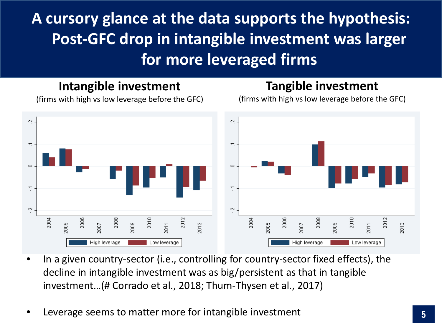# **A cursory glance at the data supports the hypothesis: Post-GFC drop in intangible investment was larger for more leveraged firms**

#### **Intangible investment**

#### **Tangible investment**

(firms with high vs low leverage before the GFC)

(firms with high vs low leverage before the GFC)



- In a given country-sector (i.e., controlling for country-sector fixed effects), the decline in intangible investment was as big/persistent as that in tangible investment…(# Corrado et al., 2018; Thum-Thysen et al., 2017)
- Leverage seems to matter more for intangible investment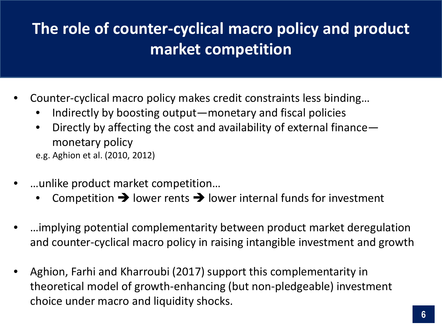# **The role of counter-cyclical macro policy and product market competition**

- Counter-cyclical macro policy makes credit constraints less binding…
	- Indirectly by boosting output—monetary and fiscal policies
	- Directly by affecting the cost and availability of external finance monetary policy
	- e.g. Aghion et al. (2010, 2012)
- …unlike product market competition…
	- Competition  $\rightarrow$  lower rents  $\rightarrow$  lower internal funds for investment
- …implying potential complementarity between product market deregulation and counter-cyclical macro policy in raising intangible investment and growth
- Aghion, Farhi and Kharroubi (2017) support this complementarity in theoretical model of growth-enhancing (but non-pledgeable) investment choice under macro and liquidity shocks.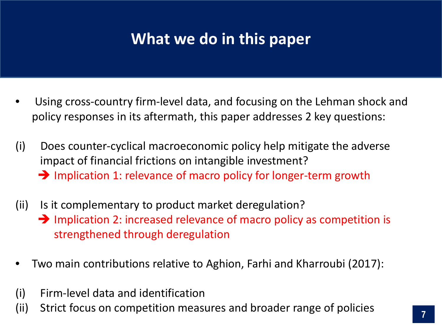## **What we do in this paper**

- Using cross-country firm-level data, and focusing on the Lehman shock and policy responses in its aftermath, this paper addresses 2 key questions:
- (i) Does counter-cyclical macroeconomic policy help mitigate the adverse impact of financial frictions on intangible investment?  $\rightarrow$  Implication 1: relevance of macro policy for longer-term growth
- (ii) Is it complementary to product market deregulation?  $\rightarrow$  Implication 2: increased relevance of macro policy as competition is strengthened through deregulation
- Two main contributions relative to Aghion, Farhi and Kharroubi (2017):
- (i) Firm-level data and identification
- (ii) Strict focus on competition measures and broader range of policies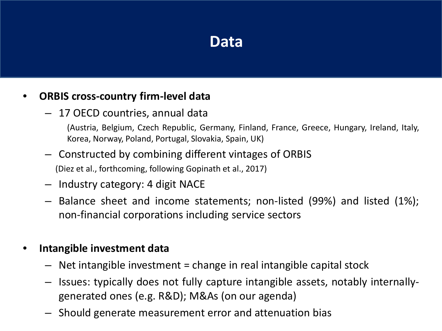### **Data**

#### • **ORBIS cross-country firm-level data**

– 17 OECD countries, annual data

(Austria, Belgium, Czech Republic, Germany, Finland, France, Greece, Hungary, Ireland, Italy, Korea, Norway, Poland, Portugal, Slovakia, Spain, UK)

- Constructed by combining different vintages of ORBIS (Diez et al., forthcoming, following Gopinath et al., 2017)
- Industry category: 4 digit NACE
- Balance sheet and income statements; non-listed (99%) and listed (1%); non-financial corporations including service sectors

#### • **Intangible investment data**

- $-$  Net intangible investment = change in real intangible capital stock
- Issues: typically does not fully capture intangible assets, notably internallygenerated ones (e.g. R&D); M&As (on our agenda)
- Should generate measurement error and attenuation bias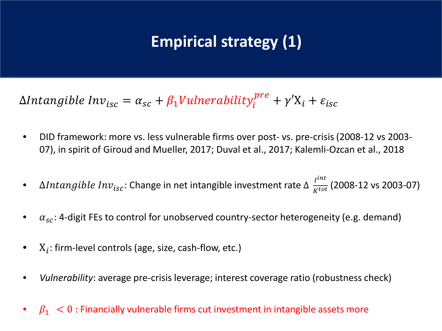# **Empirical strategy (1)**

 $\Delta Intangible \ Inv_{isc} = \alpha_{sc} + \beta_1 Vulnerability^{pre}_i + \gamma' \Chi_i + \varepsilon_{isc}$ 

- DID framework: more vs. less vulnerable firms over post- vs. pre-crisis (2008-12 vs 2003- 07), in spirit of Giroud and Mueller, 2017; Duval et al., 2017; Kalemli-Ozcan et al., 2018
- $\Delta Intangible Inv_{isc}$ : Change in net intangible investment rate  $\Delta \frac{I^{int}}{K^{tot}}$  (2008-12 vs 2003-07)
- $\alpha_{sc}$ : 4-digit FEs to control for unobserved country-sector heterogeneity (e.g. demand)
- $X_i$ : firm-level controls (age, size, cash-flow, etc.)
- *Vulnerability*: average pre-crisis leverage; interest coverage ratio (robustness check)
- $\beta_1 < 0$ : Financially vulnerable firms cut investment in intangible assets more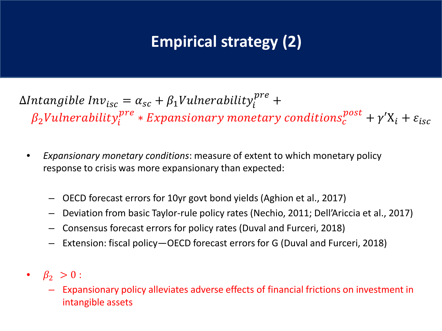# **Empirical strategy (2)**

 $\Delta Intangible \ Inv_{isc} = \alpha_{sc} + \beta_1 Vulnerability_i^{pre} + \beta_2 Vulnerability_i^{pre}$  $\beta_2$ Vulnerability $_{i}^{pre}$   $*$  Expansionary monetary conditions $_{c}^{post}$   $+$   $\gamma' \mathrm{X}_i$   $+$   $\varepsilon_{isc}$ 

- *Expansionary monetary conditions*: measure of extent to which monetary policy response to crisis was more expansionary than expected:
	- OECD forecast errors for 10yr govt bond yields (Aghion et al., 2017)
	- Deviation from basic Taylor-rule policy rates (Nechio, 2011; Dell'Ariccia et al., 2017)
	- Consensus forecast errors for policy rates (Duval and Furceri, 2018)
	- Extension: fiscal policy—OECD forecast errors for G (Duval and Furceri, 2018)
- $\beta_2 > 0$ :
	- Expansionary policy alleviates adverse effects of financial frictions on investment in intangible assets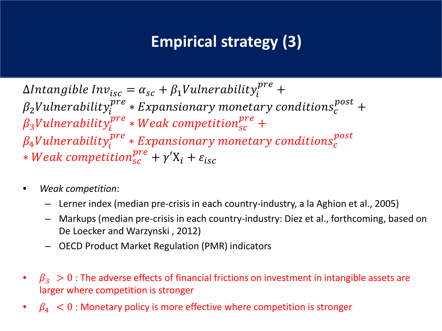## **Empirical strategy (3)**

∆ = + 1 +  $\beta_2$ Vulnerability $_{i}^{pre}$   $*$  Expansionary monetary conditions $_{c}^{post}$  +  $\beta_3$ Vulnerability $_{i}^{pre}$   $*$  Weak competition $_{sc}^{pre}$  +  $\beta_4$ Vulnerability $_{i}^{pre}$   $*$  Expansionary monetary conditions $_{c}^{post}$  $*$  *Weak competition*<sub>sc</sub><sup>pre</sup> +  $\gamma'$ X<sub>i</sub> +  $\varepsilon$ <sub>isc</sub>

- *Weak competition*:
	- Lerner index (median pre-crisis in each country-industry, a la Aghion et al., 2005)
	- Markups (median pre-crisis in each country-industry: Diez et al., forthcoming, based on De Loecker and Warzynski , 2012)
	- OECD Product Market Regulation (PMR) indicators
- $\beta_3 > 0$  : The adverse effects of financial frictions on investment in intangible assets are larger where competition is stronger
- $\beta_4$   $<$  0 : Monetary policy is more effective where competition is stronger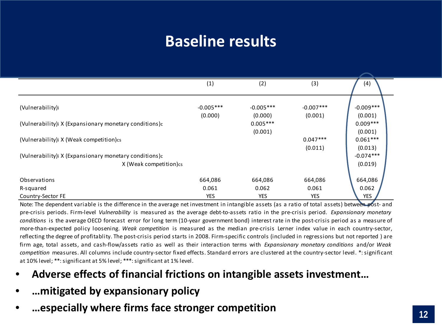## **Baseline results**

|                                                                                 | (1)         | (2)                              | (3)                   | (4)                              |
|---------------------------------------------------------------------------------|-------------|----------------------------------|-----------------------|----------------------------------|
| (Vulnerability)i                                                                | $-0.005***$ | $-0.005***$                      | $-0.007***$           | $-0.009***$                      |
| (Vulnerability) X (Expansionary monetary conditions)c                           | (0.000)     | (0.000)<br>$0.005***$<br>(0.001) | (0.001)               | (0.001)<br>$0.009***$            |
| (Vulnerability) X (Weak competition) cs                                         |             |                                  | $0.047***$<br>(0.011) | (0.001)<br>$0.061***$<br>(0.013) |
| (Vulnerability) X (Expansionary monetary conditions)c<br>X (Weak competition)cs |             |                                  |                       | $-0.074***$<br>(0.019)           |
|                                                                                 |             |                                  |                       |                                  |
| Observations                                                                    | 664,086     | 664,086                          | 664,086               | 664,086                          |
| R-squared                                                                       | 0.061       | 0.062                            | 0.061                 | 0.062                            |
| Country-Sector FE                                                               | <b>YES</b>  | <b>YES</b>                       | <b>YES</b>            | <b>YES</b>                       |

Note: The dependent variable is the difference in the average net investment in intangible assets (as a ratio of total assets) between post- and pre-crisis periods. Firm-level *Vulnerability* is measured as the average debt-to-assets ratio in the pre-crisis period. *Expansionary monetary conditions* is the average OECD forecast error for long term (10-year government bond) interest rate in the post-crisis period as a measure of more-than-expected policy loosening. *Weak competition* is measured as the median pre-crisis Lerner index value in each country-sector, reflecting the degree of profitablity. The post-crisis period starts in 2008. Firm-specific controls (included in regressions but not reported ) are firm age, total assets, and cash-flow/assets ratio as well as their interaction terms with *Expansionary monetary conditions* and/or *Weak competition* measures. All columns include country-sector fixed effects. Standard errors are clustered at the country-sector level. \*:significant at 10% level; \*\*: significant at 5% level; \*\*\*: significant at 1% level.

- **Adverse effects of financial frictions on intangible assets investment…**
- **…mitigated by expansionary policy**
- **…especially where firms face stronger competition**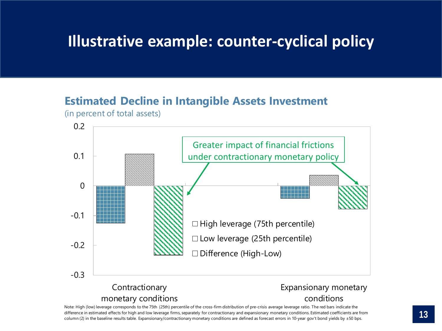## **Illustrative example: counter-cyclical policy**

#### **Estimated Decline in Intangible Assets Investment**

(in percent of total assets)



Note: High (low) leverage corresponds to the 75th (25th) percentile of the cross-firm distribution of pre-crisis average leverage ratio. The red bars indicate the difference in estimated effects for high and low leverage firms, separately for contractionary and expansionary monetary conditions. Estimated coefficients are from column (2) in the baseline results table. Expansionary/contractionary monetary conditions are defined as forecast errors in 10-year gov't bond yields by  $\pm$  50 bps.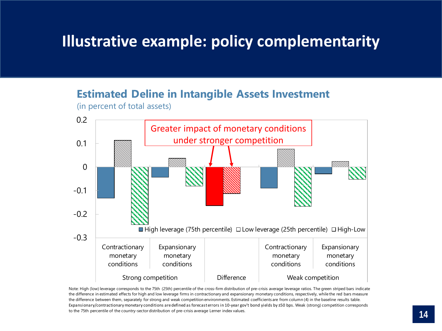### **Illustrative example: policy complementarity**

#### **Estimated Deline in Intangible Assets Investment**

(in percent of total assets)



Note: High (low) leverage corresponds to the 75th (25th) percentile of the cross-firm distribution of pre-crisis average leverage ratios. The green striped bars indicate the difference in estimated effects for high and low leverage firms in contractionary and expansionary monetary conditions, respectively, while the red bars measure the difference between them, separately for strong and weak competition environments. Estimated coefficients are from column (4) in the baseline results table. Expansionary/contractionary monetary conditions are defined as forecast errors in 10-year gov't bond yields by ±50 bps. Weak (strong) competition corresponds to the 75th percentile of the country-sector distribution of pre-crisis average Lerner index values.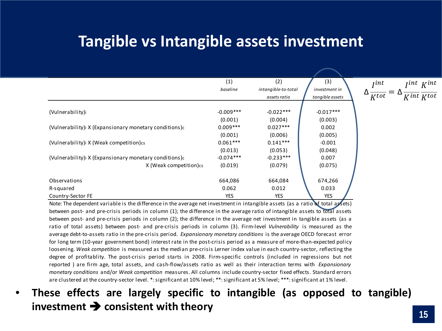### **Tangible vs Intangible assets investment**

|                                                                   | (1)<br>baseline | (2)<br>intangible-to-total | (3)<br>investment in | <i>lint Kint</i><br>$\int$ <i>jint</i>    |
|-------------------------------------------------------------------|-----------------|----------------------------|----------------------|-------------------------------------------|
|                                                                   |                 | assets ratio               | tangible assets      | $\overline{K^{int}}$ $K^{tot}$<br>$K$ tot |
|                                                                   |                 |                            |                      |                                           |
| (Vulnerability)i                                                  | $-0.009***$     | $-0.022***$                | $-0.017***$          |                                           |
|                                                                   | (0.001)         | (0.004)                    | (0.003)              |                                           |
| (Vulnerability) X (Expansionary monetary conditions)              | $0.009***$      | $0.027***$                 | 0.002                |                                           |
|                                                                   | (0.001)         | (0.006)                    | (0.005)              |                                           |
| (Vulnerability) X (Weak competition) cs                           | $0.061***$      | $0.141***$                 | $-0.001$             |                                           |
|                                                                   | (0.013)         | (0.053)                    | (0.048)              |                                           |
| (Vulnerability) X (Expansionary monetary conditions) <sub>c</sub> | $-0.074***$     | $-0.233***$                | 0.007                |                                           |
| X (Weak competition) cs                                           | (0.019)         | (0.079)                    | (0.075)              |                                           |
|                                                                   |                 |                            |                      |                                           |
| Observations                                                      | 664,086         | 664,084                    | 674,266              |                                           |
| R-squared                                                         | 0.062           | 0.012                      | 0.033                |                                           |
| Country-Sector FE                                                 | YES             | <b>YES</b>                 | <b>YES</b>           |                                           |

Note: The dependent variable is the difference in the average net investment in intangible assets (as a ratio of total assets) between post- and pre-crisis periods in column (1); the difference in the average ratio of intangible assets to total assets between post- and pre-crisis periods in column (2); the difference in the average net investment in tangible assets (as a ratio of total assets) between post- and pre-crisis periods in column (3). Firm-level *Vulnerability* is measured as the average debt-to-assets ratio in the pre-crisis period. *Expansionary monetary conditions* is the average OECD forecast error for long term (10-year government bond) interest rate in the post-crisis period as a measure of more-than-expected policy loosening. *Weak competition* is measured as the median pre-crisis Lerner index value in each country-sector, reflecting the degree of profitablity. The post-crisis period starts in 2008. Firm-specific controls (included in regressions but not reported ) are firm age, total assets, and cash-flow/assets ratio as well as their interaction terms with *Expansionary monetary conditions* and/or *Weak competition* measures. All columns include country-sector fixed effects. Standard errors are clustered at the country-sector level. \*: significant at 10% level; \*\*: significant at 5% level; \*\*\*: significant at 1% level.

#### • **These effects are largely specific to intangible (as opposed to tangible) investment consistent with theory**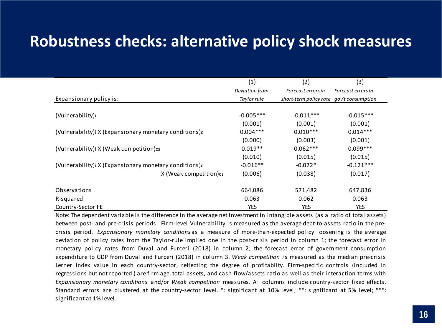### **Robustness checks: alternative policy shock measures**

|                                                       | (1)            | (2)                                      | (3)                |
|-------------------------------------------------------|----------------|------------------------------------------|--------------------|
|                                                       | Deviation from | Forecast errors in                       | Forecast errors in |
| Expansionary policy is:                               | Taylor rule    | short-term policy rate gov't consumption |                    |
|                                                       |                |                                          |                    |
| (Vulnerability)i                                      | $-0.005***$    | $-0.011***$                              | $-0.015***$        |
|                                                       | (0.001)        | (0.001)                                  | (0.001)            |
| (Vulnerability) X (Expansionary monetary conditions)c | $0.004***$     | $0.010***$                               | $0.014***$         |
|                                                       | (0.000)        | (0.003)                                  | (0.001)            |
| (Vulnerability) X (Weak competition) cs               | $0.019**$      | $0.062***$                               | $0.099***$         |
|                                                       | (0.010)        | (0.015)                                  | (0.015)            |
| (Vulnerability) X (Expansionary monetary conditions)c | $-0.016**$     | $-0.072*$                                | $-0.121***$        |
| X (Weak competition)cs                                | (0.006)        | (0.038)                                  | (0.017)            |
|                                                       |                |                                          |                    |
| Observations                                          | 664,086        | 571,482                                  | 647,836            |
| R-squared                                             | 0.063          | 0.062                                    | 0.063              |
| Country-Sector FE                                     | <b>YES</b>     | <b>YES</b>                               | <b>YES</b>         |

Note: The dependent variable is the difference in the average net investment in intangible assets (as a ratio of total assets) between post- and pre-crisis periods. Firm-level Vulnerability is measured as the average debt-to-assets ratio in the precrisis period. *Expansionary monetary conditions* as a measure of more-than-expected policy loosening is the average deviation of policy rates from the Taylor-rule implied one in the post-crisis period in column 1; the forecast error in monetary policy rates from Duval and Furceri (2018) in column 2; the forecast error of government consumption expenditure to GDP from Duval and Furceri (2018) in column 3. *Weak competition i*s measured as the median pre-crisis Lerner index value in each country-sector, reflecting the degree of profitablity. Firm-specific controls (included in regressions but not reported ) are firm age, total assets, and cash-flow/assets ratio as well as their interaction terms with *Expansionary monetary conditions* and/or *Weak competition* measures. All columns include country-sector fixed effects. Standard errors are clustered at the country-sector level. \*: significant at 10% level; \*\*: significant at 5% level; \*\*\*: significant at 1% level.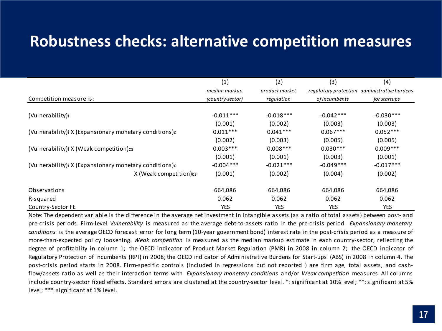### **Robustness checks: alternative competition measures**

|                                                       | (1)              | (2)            | (3)          | (4)                                          |
|-------------------------------------------------------|------------------|----------------|--------------|----------------------------------------------|
|                                                       | median markup    | product market |              | regulatory protection administrative burdens |
| Competition measure is:                               | (country-sector) | regulation     | ofincumbents | for startups                                 |
|                                                       |                  |                |              |                                              |
| (Vulnerability)i                                      | $-0.011***$      | $-0.018***$    | $-0.042***$  | $-0.030***$                                  |
|                                                       | (0.001)          | (0.002)        | (0.003)      | (0.003)                                      |
| (Vulnerability) X (Expansionary monetary conditions)c | $0.011***$       | $0.041***$     | $0.067***$   | $0.052***$                                   |
|                                                       | (0.002)          | (0.003)        | (0.005)      | (0.005)                                      |
| (Vulnerability) X (Weak competition) cs               | $0.003***$       | $0.008***$     | $0.030***$   | $0.009***$                                   |
|                                                       | (0.001)          | (0.001)        | (0.003)      | (0.001)                                      |
| (Vulnerability) X (Expansionary monetary conditions)c | $-0.004***$      | $-0.021***$    | $-0.049***$  | $-0.017***$                                  |
| X (Weak competition)cs                                | (0.001)          | (0.002)        | (0.004)      | (0.002)                                      |
| Observations                                          | 664,086          | 664,086        | 664,086      | 664,086                                      |
| R-squared                                             | 0.062            | 0.062          | 0.062        | 0.062                                        |
| Country-Sector FE                                     | <b>YES</b>       | <b>YES</b>     | <b>YES</b>   | <b>YES</b>                                   |

Note: The dependent variable is the difference in the average net investment in intangible assets (as a ratio of total assets) between post- and pre-crisis periods. Firm-level *Vulnerability* is measured as the average debt-to-assets ratio in the pre-crisis period. *Expansionary monetary conditions* is the average OECD forecast error for long term (10-year government bond) interest rate in the post-crisis period as a measure of more-than-expected policy loosening. *Weak competition* is measured as the median markup estimate in each country-sector, reflecting the degree of profitablity in column 1; the OECD indicator of Product Market Regulation (PMR) in 2008 in column 2; the OECD indicator of Regulatory Protection of Incumbents (RPI) in 2008; the OECD indicator of Administrative Burdens for Start-ups (ABS) in 2008 in column 4. The post-crisis period starts in 2008. Firm-specific controls (included in regressions but not reported ) are firm age, total assets, and cashflow/assets ratio as well as their interaction terms with *Expansionary monetary conditions* and/or *Weak competition* measures. All columns include country-sector fixed effects. Standard errors are clustered at the country-sector level. \*: significant at 10% level; \*\*:significant at 5% level; \*\*\*: significant at 1% level.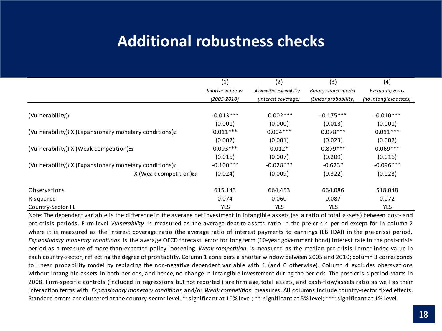### **Additional robustness checks**

|                                                       | (1)             | (2)                       | (3)                  | (4)                    |
|-------------------------------------------------------|-----------------|---------------------------|----------------------|------------------------|
|                                                       | Shorter window  | Alternative vulnerability | Binary choice model  | Excluding zeros        |
|                                                       | $(2005 - 2010)$ | (Interest coverage)       | (Linear probability) | (no intangible assets) |
|                                                       |                 |                           |                      |                        |
| (Vulnerability)i                                      | $-0.013***$     | $-0.002$ ***              | $-0.175***$          | $-0.010***$            |
|                                                       | (0.001)         | (0.000)                   | (0.013)              | (0.001)                |
| (Vulnerability) X (Expansionary monetary conditions)c | $0.011***$      | $0.004***$                | $0.078***$           | $0.011***$             |
|                                                       | (0.002)         | (0.001)                   | (0.023)              | (0.002)                |
| (Vulnerability) X (Weak competition) cs               | $0.093***$      | $0.012*$                  | $0.879***$           | $0.069***$             |
|                                                       | (0.015)         | (0.007)                   | (0.209)              | (0.016)                |
| (Vulnerability) X (Expansionary monetary conditions)c | $-0.100***$     | $-0.028***$               | $-0.623*$            | $-0.096***$            |
| X (Weak competition)cs                                | (0.024)         | (0.009)                   | (0.322)              | (0.023)                |
| Observations                                          | 615,143         | 664,453                   | 664,086              | 518,048                |
| R-squared                                             | 0.074           | 0.060                     | 0.087                | 0.072                  |
| Country-Sector FE                                     | <b>YES</b>      | <b>YES</b>                | <b>YES</b>           | <b>YES</b>             |

Note: The dependent variable is the difference in the average net investment in intangible assets (as a ratio of total assets) between post- and pre-crisis periods. Firm-level *Vulnerability* is measured as the average debt-to-assets ratio in the pre-crisis period except for in column 2 where it is measured as the interest coverage ratio (the average ratio of interest payments to earnings (EBITDA)) in the pre-crissi period. *Expansionary monetary conditions* is the average OECD forecast error for long term (10-year government bond) interest rate in the post-crisis period as a measure of more-than-expected policy loosening. *Weak competition* is measured as the median pre-crisis Lerner index value in each country-sector, reflecting the degree of profitablity. Column 1 considers a shorter window between 2005 and 2010; column 3 corresponds to linear probability model by replacing the non-negative dependent variable with 1 (and 0 otherwise). Column 4 excludes obersvations without intangible assets in both periods, and hence, no change in intangible investement during the periods. The post-crisis period starts in 2008. Firm-specific controls (included in regressions but not reported ) are firm age, total assets, and cash-flow/assets ratio as well as their interaction terms with *Expansionary monetary conditions* and/or *Weak competition* measures. All columns include country-sector fixed effects. Standard errors are clustered at the country-sector level. \*: significant at 10% level; \*\*: significant at 5% level; \*\*\*: significant at 1% level.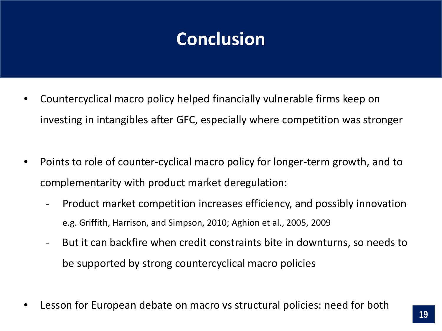# **Conclusion**

- Countercyclical macro policy helped financially vulnerable firms keep on investing in intangibles after GFC, especially where competition was stronger
- Points to role of counter-cyclical macro policy for longer-term growth, and to complementarity with product market deregulation:
	- Product market competition increases efficiency, and possibly innovation e.g. Griffith, Harrison, and Simpson, 2010; Aghion et al., 2005, 2009
	- But it can backfire when credit constraints bite in downturns, so needs to be supported by strong countercyclical macro policies
- Lesson for European debate on macro vs structural policies: need for both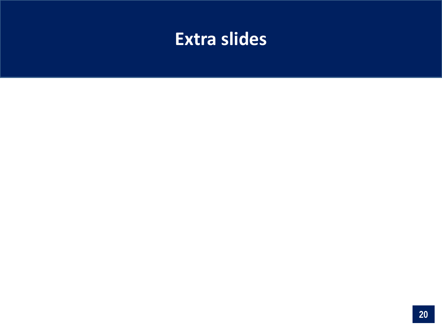# **Extra slides**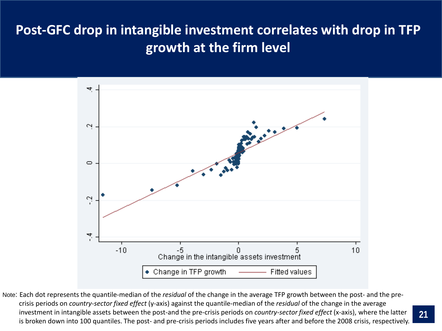### **Post-GFC drop in intangible investment correlates with drop in TFP growth at the firm level**



Note: Each dot represents the quantile-median of the *residual* of the change in the average TFP growth between the post- and the precrisis periods on *country-sector fixed effect* (y-axis) against the quantile-median of the *residual* of the change in the average investment in intangible assets between the post-and the pre-crisis periods on *country-sector fixed effect* (x-axis), where the latter is broken down into 100 quantiles. The post- and pre-crisis periods includes five years after and before the 2008 crisis, respectively.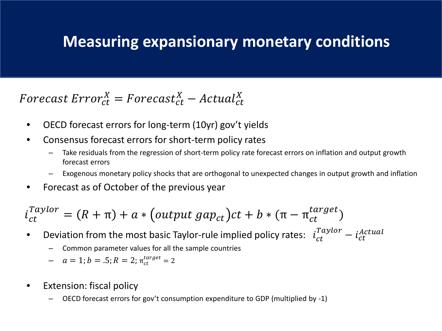### **Measuring expansionary monetary conditions**

#### Forecast  $Error_{ct}^X = Forecast_{ct}^X - Actual_{ct}^X$

- OECD forecast errors for long-term (10yr) gov't yields
- Consensus forecast errors for short-term policy rates
	- Take residuals from the regression of short-term policy rate forecast errors on inflation and output growth forecast errors
	- Exogenous monetary policy shocks that are orthogonal to unexpected changes in output growth and inflation
- Forecast as of October of the previous year

$$
i_{ct}^{Taylor} = (R + \pi) + a * (output \, gap_{ct})ct + b * (\pi - \pi_{ct}^{target})
$$

- Deviation from the most basic Taylor-rule implied policy rates:  $i_{ct}^{Taylor} i_{ct}^{Actual}$ 
	- Common parameter values for all the sample countries
	- $-a = 1; b = .5; R = 2; \pi_{ct}^{target} = 2$
- Extension: fiscal policy
	- OECD forecast errors for gov't consumption expenditure to GDP (multiplied by -1)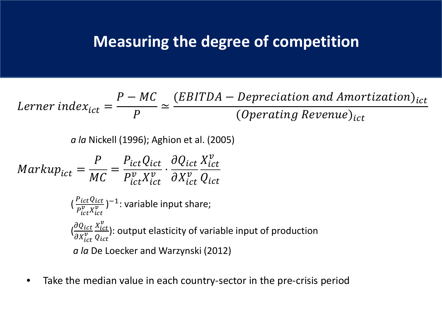### **Measuring the degree of competition**

*Lerner index<sub>ict</sub>* = 
$$
\frac{P - MC}{P} \simeq \frac{(EBITDA - Depreciation and Amortization)_{ict}}{(Operating Revenue)_{ict}}
$$

*a la* Nickell (1996); Aghion et al. (2005)

$$
Markup_{ict} = \frac{P}{MC} = \frac{P_{ict}Q_{ict}}{P_{ict}^v X_{ict}^v} \cdot \frac{\partial Q_{ict}}{\partial X_{ict}^v} \frac{X_{ict}^v}{Q_{ict}}
$$

$$
(\frac{P_{ict}Q_{ict}}{P_{ict}^v X_{ict}^v})^{-1} \cdot \text{variable input share};
$$

$$
(\frac{\partial Q_{ict}}{\partial X_{ict}^v} \frac{X_{ict}^v}{Q_{ict}}) \cdot \text{output elasticity of variable input of production}
$$

$$
a \text{ } la \text{ } De \text{ Loecker and Warzynski (2012)}
$$

• Take the median value in each country-sector in the pre-crisis period